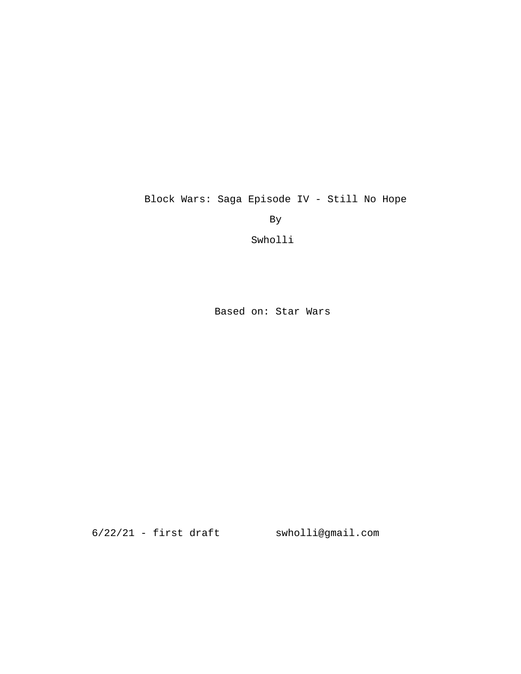Block Wars: Saga Episode IV - Still No Hope

By

Swholli

Based on: Star Wars

6/22/21 - first draft swholli@gmail.com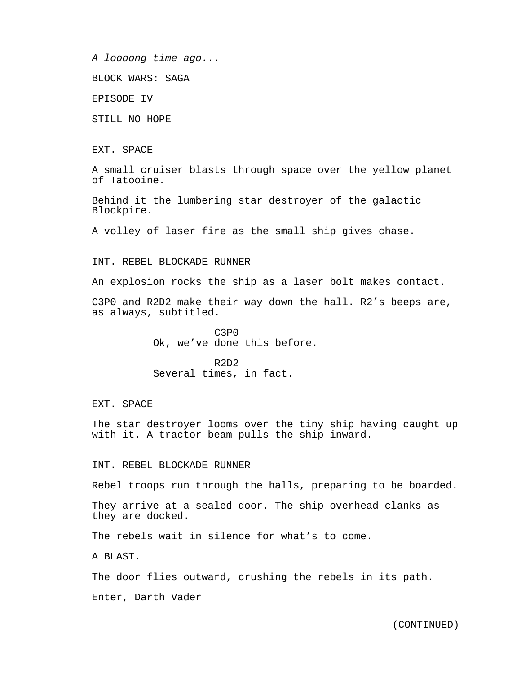*A loooong time ago...*

BLOCK WARS: SAGA

EPISODE IV

STILL NO HOPE

EXT. SPACE

A small cruiser blasts through space over the yellow planet of Tatooine.

Behind it the lumbering star destroyer of the galactic Blockpire.

A volley of laser fire as the small ship gives chase.

INT. REBEL BLOCKADE RUNNER

An explosion rocks the ship as a laser bolt makes contact.

C3P0 and R2D2 make their way down the hall. R2's beeps are, as always, subtitled.

> C3P0 Ok, we've done this before.

R2D2 Several times, in fact.

EXT. SPACE

The star destroyer looms over the tiny ship having caught up with it. A tractor beam pulls the ship inward.

INT. REBEL BLOCKADE RUNNER

Rebel troops run through the halls, preparing to be boarded.

They arrive at a sealed door. The ship overhead clanks as they are docked.

The rebels wait in silence for what's to come.

A BLAST.

The door flies outward, crushing the rebels in its path.

Enter, Darth Vader

(CONTINUED)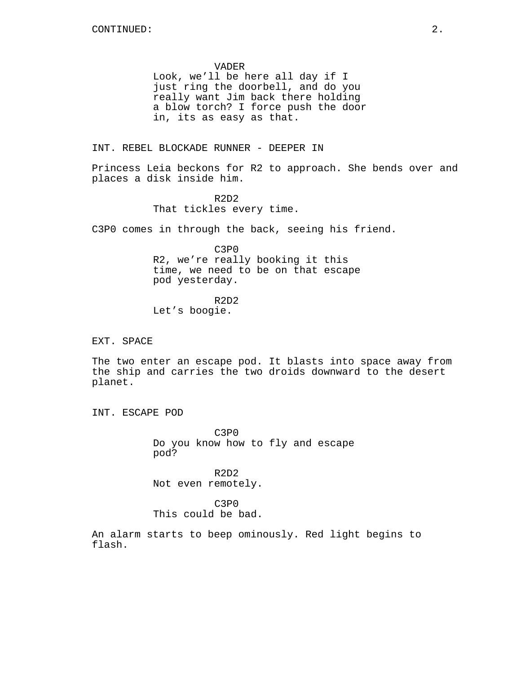VADER Look, we'll be here all day if I just ring the doorbell, and do you really want Jim back there holding a blow torch? I force push the door in, its as easy as that.

INT. REBEL BLOCKADE RUNNER - DEEPER IN

Princess Leia beckons for R2 to approach. She bends over and places a disk inside him.

> R2D2 That tickles every time.

C3P0 comes in through the back, seeing his friend.

C3P0 R2, we're really booking it this time, we need to be on that escape pod yesterday.

R2D2 Let's boogie.

EXT. SPACE

The two enter an escape pod. It blasts into space away from the ship and carries the two droids downward to the desert planet.

INT. ESCAPE POD

C3P0 Do you know how to fly and escape pod?

R2D2 Not even remotely.

C3P0 This could be bad.

An alarm starts to beep ominously. Red light begins to flash.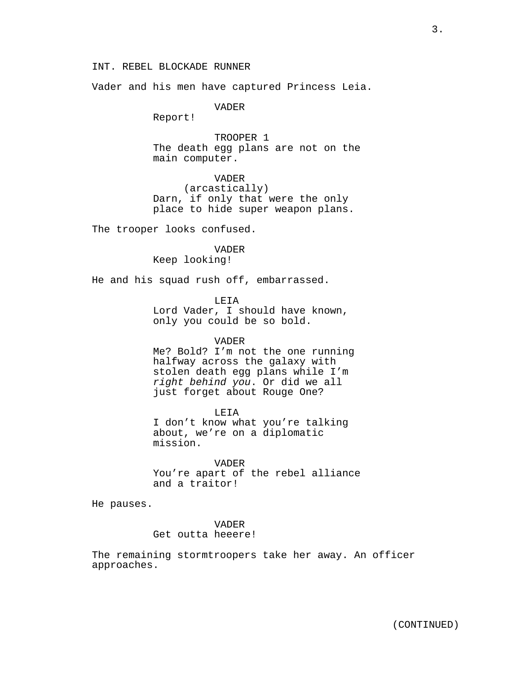## INT. REBEL BLOCKADE RUNNER

Vader and his men have captured Princess Leia.

VADER

Report!

TROOPER 1 The death egg plans are not on the main computer.

VADER (arcastically) Darn, if only that were the only place to hide super weapon plans.

The trooper looks confused.

VADER Keep looking!

He and his squad rush off, embarrassed.

LEIA Lord Vader, I should have known, only you could be so bold.

## VADER

Me? Bold? I'm not the one running halfway across the galaxy with stolen death egg plans while I'm *right behind you*. Or did we all just forget about Rouge One?

LEIA I don't know what you're talking about, we're on a diplomatic mission.

VADER

You're apart of the rebel alliance and a traitor!

He pauses.

VADER Get outta heeere!

The remaining stormtroopers take her away. An officer approaches.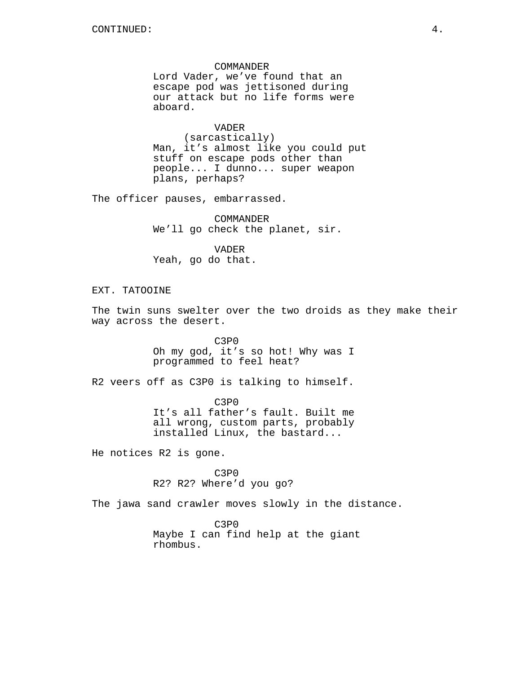COMMANDER Lord Vader, we've found that an escape pod was jettisoned during our attack but no life forms were aboard.

VADER

(sarcastically) Man, it's almost like you could put stuff on escape pods other than people... I dunno... super weapon plans, perhaps?

The officer pauses, embarrassed.

COMMANDER We'll go check the planet, sir.

VADER Yeah, go do that.

EXT. TATOOINE

The twin suns swelter over the two droids as they make their way across the desert.

> C3P0 Oh my god, it's so hot! Why was I programmed to feel heat?

R2 veers off as C3P0 is talking to himself.

C3P0 It's all father's fault. Built me all wrong, custom parts, probably installed Linux, the bastard...

He notices R2 is gone.

C3P0 R2? R2? Where'd you go?

The jawa sand crawler moves slowly in the distance.

C3P0 Maybe I can find help at the giant rhombus.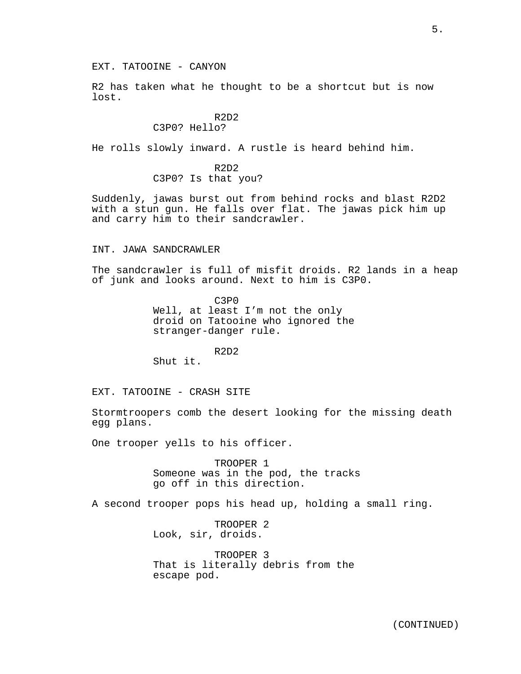R2 has taken what he thought to be a shortcut but is now lost.

# R2D2

## C3P0? Hello?

He rolls slowly inward. A rustle is heard behind him.

R2D2 C3P0? Is that you?

Suddenly, jawas burst out from behind rocks and blast R2D2 with a stun gun. He falls over flat. The jawas pick him up and carry him to their sandcrawler.

#### INT. JAWA SANDCRAWLER

The sandcrawler is full of misfit droids. R2 lands in a heap of junk and looks around. Next to him is C3P0.

> C3P0 Well, at least I'm not the only droid on Tatooine who ignored the stranger-danger rule.

> > R2D2

Shut it.

EXT. TATOOINE - CRASH SITE

Stormtroopers comb the desert looking for the missing death egg plans.

One trooper yells to his officer.

TROOPER 1 Someone was in the pod, the tracks go off in this direction.

A second trooper pops his head up, holding a small ring.

TROOPER 2 Look, sir, droids.

TROOPER 3 That is literally debris from the escape pod.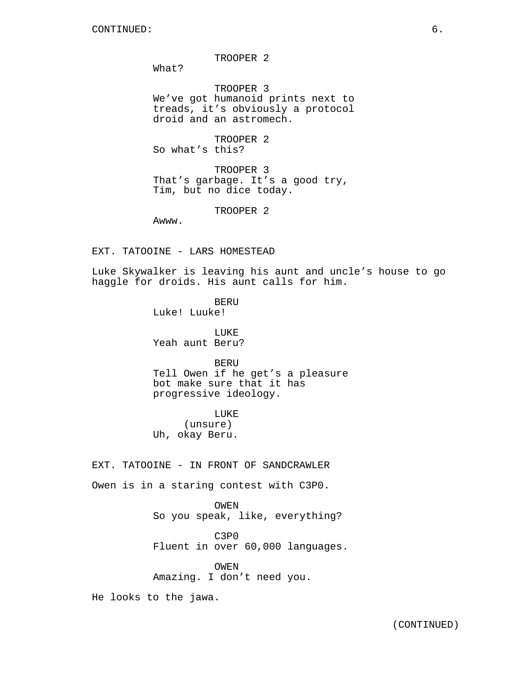TROOPER 2

What?

TROOPER 3 We've got humanoid prints next to treads, it's obviously a protocol droid and an astromech.

TROOPER 2 So what's this?

TROOPER 3 That's garbage. It's a good try, Tim, but no dice today.

TROOPER 2

Awww.

EXT. TATOOINE - LARS HOMESTEAD

Luke Skywalker is leaving his aunt and uncle's house to go haggle for droids. His aunt calls for him.

> BERU Luke! Luuke!

LUKE Yeah aunt Beru?

BERU Tell Owen if he get's a pleasure bot make sure that it has progressive ideology.

LUKE (unsure) Uh, okay Beru.

EXT. TATOOINE - IN FRONT OF SANDCRAWLER

Owen is in a staring contest with C3P0.

OWEN So you speak, like, everything?

C3P0 Fluent in over 60,000 languages.

OWEN Amazing. I don't need you.

He looks to the jawa.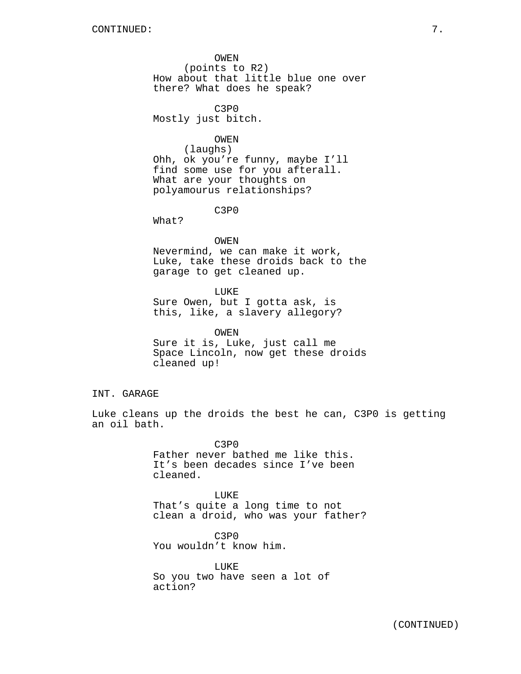OWEN (points to R2) How about that little blue one over there? What does he speak?

C3P0 Mostly just bitch.

#### OWEN

(laughs) Ohh, ok you're funny, maybe I'll find some use for you afterall. What are your thoughts on polyamourus relationships?

C3P0

What?

OWEN Nevermind, we can make it work, Luke, take these droids back to the garage to get cleaned up.

LUKE Sure Owen, but I gotta ask, is this, like, a slavery allegory?

OWEN Sure it is, Luke, just call me Space Lincoln, now get these droids cleaned up!

INT. GARAGE

Luke cleans up the droids the best he can, C3P0 is getting an oil bath.

> C3P0 Father never bathed me like this. It's been decades since I've been cleaned.

LUKE That's quite a long time to not clean a droid, who was your father?

C3P0 You wouldn't know him.

LUKE So you two have seen a lot of action?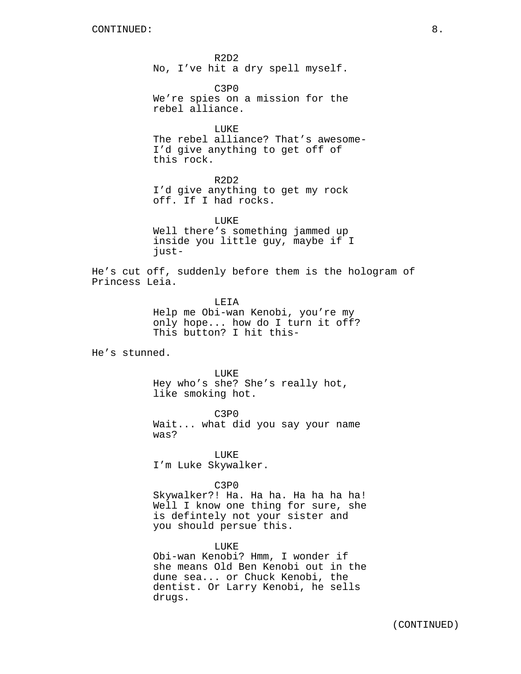R2D2 No, I've hit a dry spell myself.

C3P0 We're spies on a mission for the rebel alliance.

LUKE The rebel alliance? That's awesome-I'd give anything to get off of this rock.

R2D2 I'd give anything to get my rock off. If I had rocks.

LUKE Well there's something jammed up inside you little guy, maybe if I just-

He's cut off, suddenly before them is the hologram of Princess Leia.

> LEIA Help me Obi-wan Kenobi, you're my only hope... how do I turn it off? This button? I hit this-

He's stunned.

LUKE

Hey who's she? She's really hot, like smoking hot.

C3P0 Wait... what did you say your name was?

LUKE I'm Luke Skywalker.

C3P0

Skywalker?! Ha. Ha ha. Ha ha ha ha! Well I know one thing for sure, she is defintely not your sister and you should persue this.

LUKE

Obi-wan Kenobi? Hmm, I wonder if she means Old Ben Kenobi out in the dune sea... or Chuck Kenobi, the dentist. Or Larry Kenobi, he sells drugs.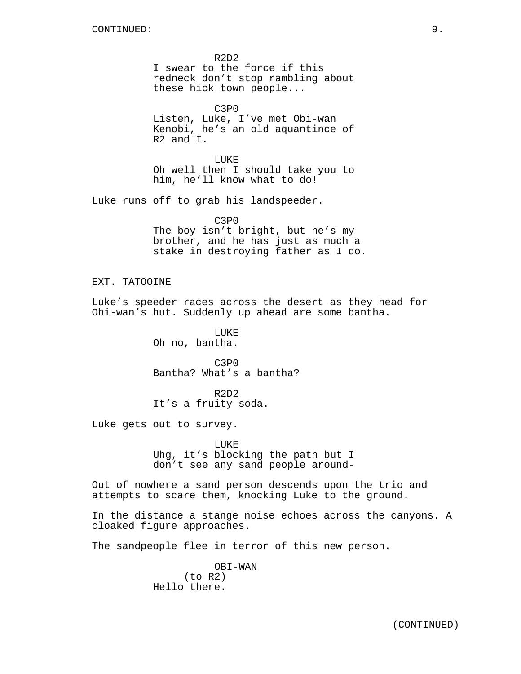R2D2 I swear to the force if this redneck don't stop rambling about these hick town people...

C3P0 Listen, Luke, I've met Obi-wan Kenobi, he's an old aquantince of R2 and I.

LUKE Oh well then I should take you to him, he'll know what to do!

Luke runs off to grab his landspeeder.

C3P0 The boy isn't bright, but he's my brother, and he has just as much a stake in destroying father as I do.

EXT. TATOOINE

Luke's speeder races across the desert as they head for Obi-wan's hut. Suddenly up ahead are some bantha.

> LUKE Oh no, bantha.

C3P0 Bantha? What's a bantha?

R2D2 It's a fruity soda.

Luke gets out to survey.

LUKE Uhg, it's blocking the path but I don't see any sand people around-

Out of nowhere a sand person descends upon the trio and attempts to scare them, knocking Luke to the ground.

In the distance a stange noise echoes across the canyons. A cloaked figure approaches.

The sandpeople flee in terror of this new person.

OBI-WAN (to R2) Hello there.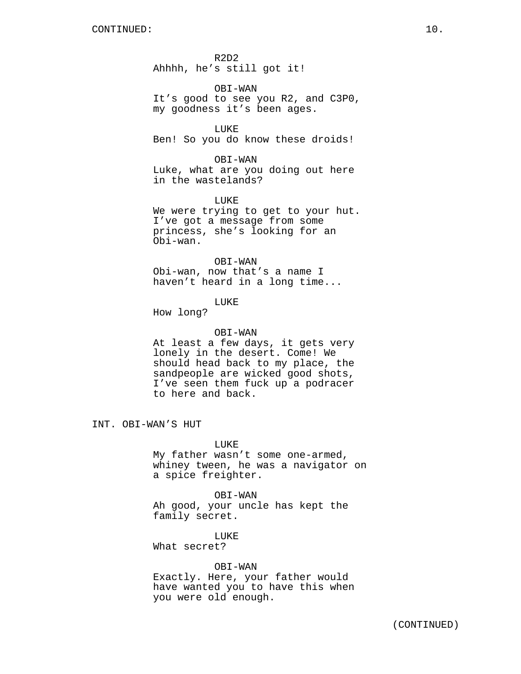R2D2 Ahhhh, he's still got it!

OBI-WAN It's good to see you R2, and C3P0, my goodness it's been ages.

LUKE Ben! So you do know these droids!

OBI-WAN Luke, what are you doing out here in the wastelands?

LUKE We were trying to get to your hut. I've got a message from some princess, she's looking for an Obi-wan.

## OBI-WAN

Obi-wan, now that's a name I haven't heard in a long time...

## LUKE

How long?

## OBI-WAN

At least a few days, it gets very lonely in the desert. Come! We should head back to my place, the sandpeople are wicked good shots, I've seen them fuck up a podracer to here and back.

INT. OBI-WAN'S HUT

LUKE My father wasn't some one-armed, whiney tween, he was a navigator on a spice freighter.

OBI-WAN Ah good, your uncle has kept the family secret.

LUKE What secret?

### OBI-WAN

Exactly. Here, your father would have wanted you to have this when you were old enough.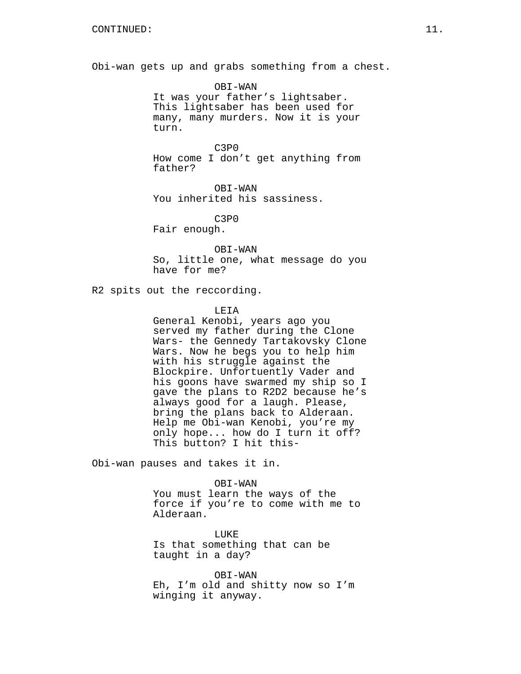Obi-wan gets up and grabs something from a chest.

OBI-WAN It was your father's lightsaber. This lightsaber has been used for many, many murders. Now it is your turn.

C3P0 How come I don't get anything from father?

OBI-WAN You inherited his sassiness.

C3P0

Fair enough.

OBI-WAN So, little one, what message do you have for me?

R2 spits out the reccording.

**LETA** 

General Kenobi, years ago you served my father during the Clone Wars- the Gennedy Tartakovsky Clone Wars. Now he begs you to help him with his struggle against the Blockpire. Unfortuently Vader and his goons have swarmed my ship so I gave the plans to R2D2 because he's always good for a laugh. Please, bring the plans back to Alderaan. Help me Obi-wan Kenobi, you're my only hope... how do I turn it off? This button? I hit this-

Obi-wan pauses and takes it in.

OBI-WAN

You must learn the ways of the force if you're to come with me to Alderaan.

LUKE Is that something that can be taught in a day?

OBI-WAN Eh, I'm old and shitty now so I'm winging it anyway.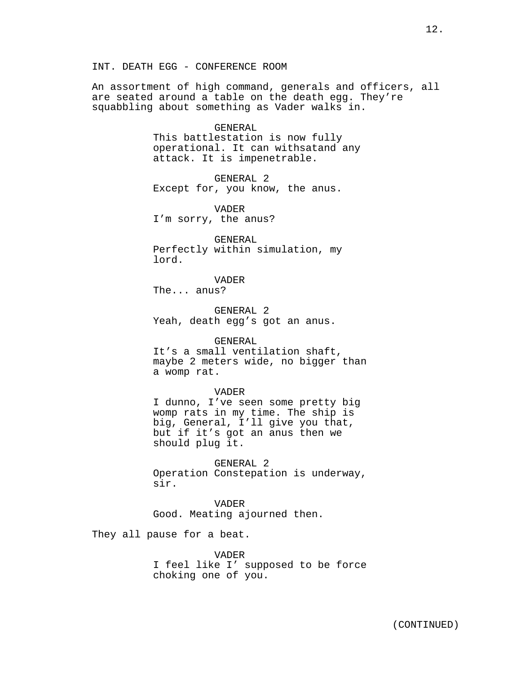An assortment of high command, generals and officers, all are seated around a table on the death egg. They're squabbling about something as Vader walks in.

## GENERAL This battlestation is now fully operational. It can withsatand any attack. It is impenetrable.

GENERAL 2 Except for, you know, the anus.

VADER I'm sorry, the anus?

GENERAL Perfectly within simulation, my lord.

VADER The... anus?

GENERAL 2 Yeah, death egg's got an anus.

#### GENERAL

It's a small ventilation shaft, maybe 2 meters wide, no bigger than a womp rat.

#### VADER

I dunno, I've seen some pretty big womp rats in my time. The ship is big, General, I'll give you that, but if it's got an anus then we should plug it.

GENERAL 2 Operation Constepation is underway, sir.

VADER Good. Meating ajourned then.

They all pause for a beat.

VADER I feel like I' supposed to be force choking one of you.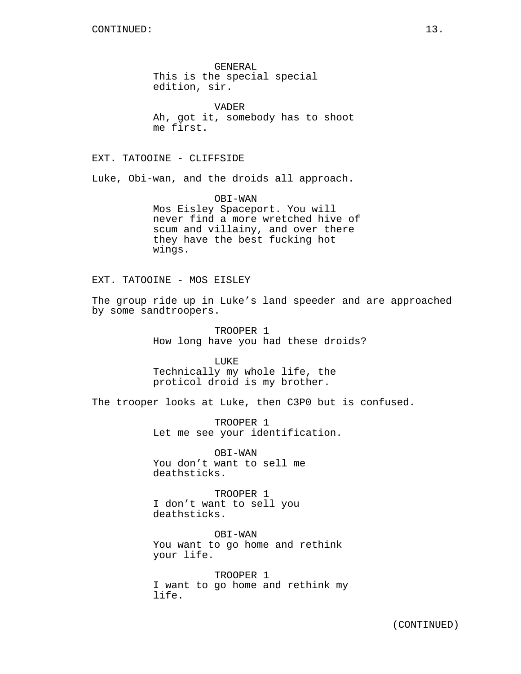GENERAL This is the special special edition, sir.

VADER Ah, got it, somebody has to shoot me first.

EXT. TATOOINE - CLIFFSIDE

Luke, Obi-wan, and the droids all approach.

OBI-WAN Mos Eisley Spaceport. You will never find a more wretched hive of scum and villainy, and over there they have the best fucking hot wings.

EXT. TATOOINE - MOS EISLEY

The group ride up in Luke's land speeder and are approached by some sandtroopers.

> TROOPER 1 How long have you had these droids?

LUKE Technically my whole life, the proticol droid is my brother.

The trooper looks at Luke, then C3P0 but is confused.

TROOPER 1 Let me see your identification.

OBI-WAN You don't want to sell me deathsticks.

TROOPER 1 I don't want to sell you deathsticks.

OBI-WAN You want to go home and rethink your life.

TROOPER 1 I want to go home and rethink my life.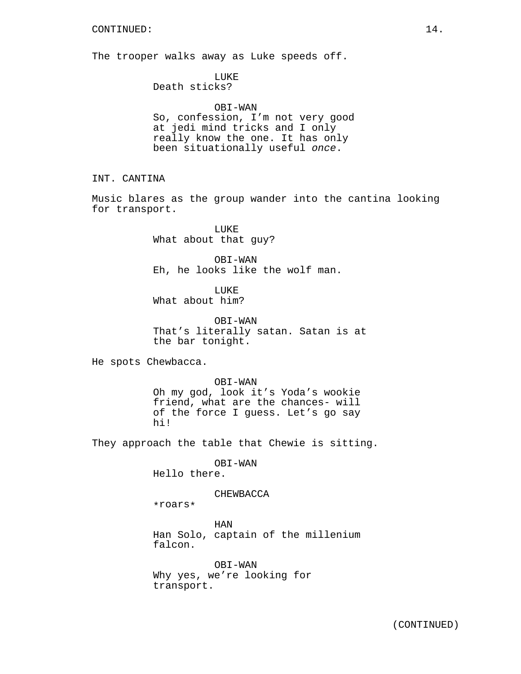The trooper walks away as Luke speeds off.

LUKE

Death sticks?

OBI-WAN So, confession, I'm not very good at jedi mind tricks and I only really know the one. It has only been situationally useful *once*.

INT. CANTINA

Music blares as the group wander into the cantina looking for transport.

> LUKE What about that guy?

OBI-WAN Eh, he looks like the wolf man.

LUKE What about him?

OBI-WAN That's literally satan. Satan is at the bar tonight.

He spots Chewbacca.

OBI-WAN Oh my god, look it's Yoda's wookie friend, what are the chances- will of the force I guess. Let's go say hi!

They approach the table that Chewie is sitting.

OBI-WAN

Hello there.

#### CHEWBACCA

\*roars\*

HAN Han Solo, captain of the millenium falcon.

OBI-WAN Why yes, we're looking for transport.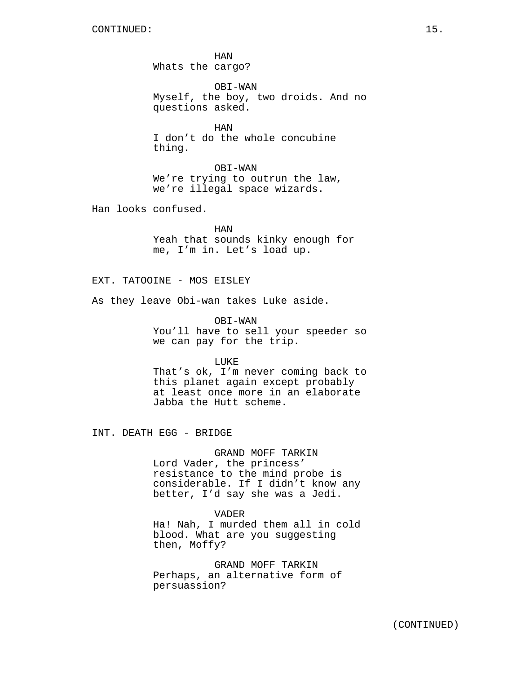HAN Whats the cargo?

OBI-WAN Myself, the boy, two droids. And no questions asked.

HAN I don't do the whole concubine thing.

OBI-WAN We're trying to outrun the law, we're illegal space wizards.

Han looks confused.

HAN Yeah that sounds kinky enough for me, I'm in. Let's load up.

EXT. TATOOINE - MOS EISLEY

As they leave Obi-wan takes Luke aside.

OBI-WAN You'll have to sell your speeder so we can pay for the trip.

**LUKE** 

That's ok, I'm never coming back to this planet again except probably at least once more in an elaborate Jabba the Hutt scheme.

INT. DEATH EGG - BRIDGE

#### GRAND MOFF TARKIN

Lord Vader, the princess' resistance to the mind probe is considerable. If I didn't know any better, I'd say she was a Jedi.

### VADER

Ha! Nah, I murded them all in cold blood. What are you suggesting then, Moffy?

GRAND MOFF TARKIN Perhaps, an alternative form of persuassion?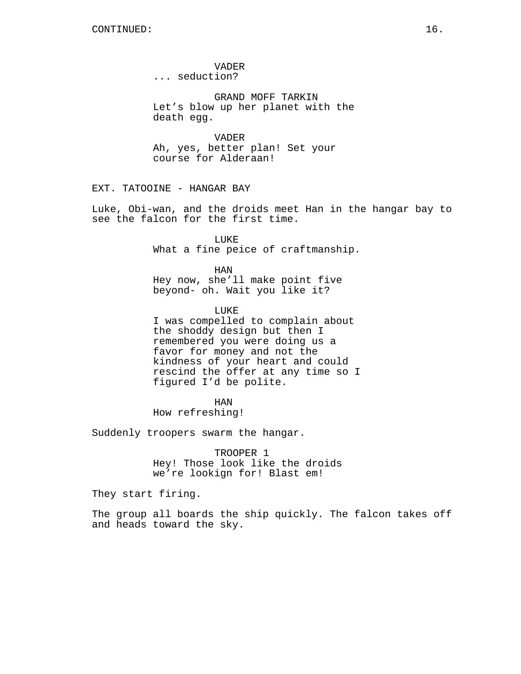VADER ... seduction?

GRAND MOFF TARKIN Let's blow up her planet with the death egg.

VADER Ah, yes, better plan! Set your course for Alderaan!

EXT. TATOOINE - HANGAR BAY

Luke, Obi-wan, and the droids meet Han in the hangar bay to see the falcon for the first time.

> LUKE What a fine peice of craftmanship.

HAN Hey now, she'll make point five beyond- oh. Wait you like it?

LUKE I was compelled to complain about the shoddy design but then I remembered you were doing us a favor for money and not the kindness of your heart and could rescind the offer at any time so I

figured I'd be polite. HAN

How refreshing!

Suddenly troopers swarm the hangar.

TROOPER 1 Hey! Those look like the droids we're lookign for! Blast em!

They start firing.

The group all boards the ship quickly. The falcon takes off and heads toward the sky.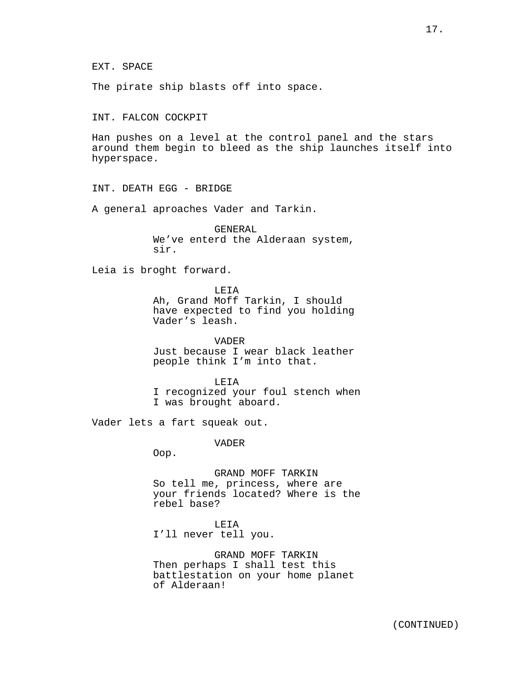EXT. SPACE

The pirate ship blasts off into space.

INT. FALCON COCKPIT

Han pushes on a level at the control panel and the stars around them begin to bleed as the ship launches itself into hyperspace.

INT. DEATH EGG - BRIDGE

A general aproaches Vader and Tarkin.

GENERAL We've enterd the Alderaan system, sir.

Leia is broght forward.

LEIA

Ah, Grand Moff Tarkin, I should have expected to find you holding Vader's leash.

VADER Just because I wear black leather people think I'm into that.

LEIA

I recognized your foul stench when I was brought aboard.

Vader lets a fart squeak out.

VADER

Oop.

GRAND MOFF TARKIN So tell me, princess, where are your friends located? Where is the rebel base?

LEIA I'll never tell you.

GRAND MOFF TARKIN Then perhaps I shall test this battlestation on your home planet of Alderaan!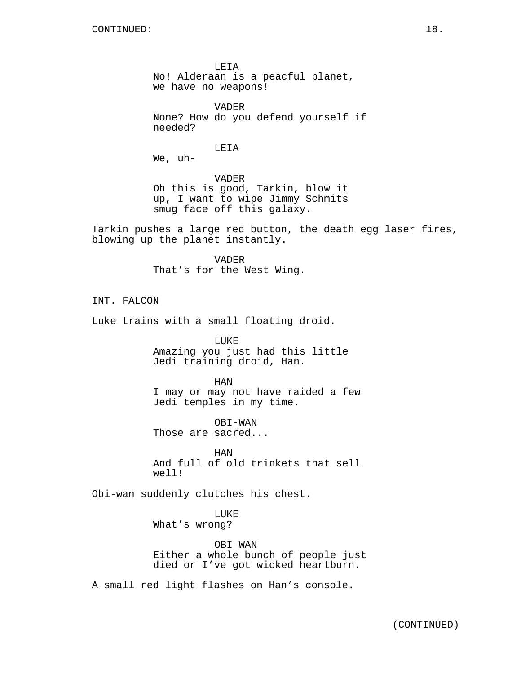LEIA No! Alderaan is a peacful planet, we have no weapons!

VADER None? How do you defend yourself if needed?

LEIA

We, uh-

VADER Oh this is good, Tarkin, blow it up, I want to wipe Jimmy Schmits smug face off this galaxy.

Tarkin pushes a large red button, the death egg laser fires, blowing up the planet instantly.

> VADER That's for the West Wing.

INT. FALCON

Luke trains with a small floating droid.

LUKE Amazing you just had this little Jedi training droid, Han.

HAN I may or may not have raided a few Jedi temples in my time.

OBI-WAN Those are sacred...

HAN And full of old trinkets that sell well!

Obi-wan suddenly clutches his chest.

LUKE What's wrong?

OBI-WAN Either a whole bunch of people just died or I've got wicked heartburn.

A small red light flashes on Han's console.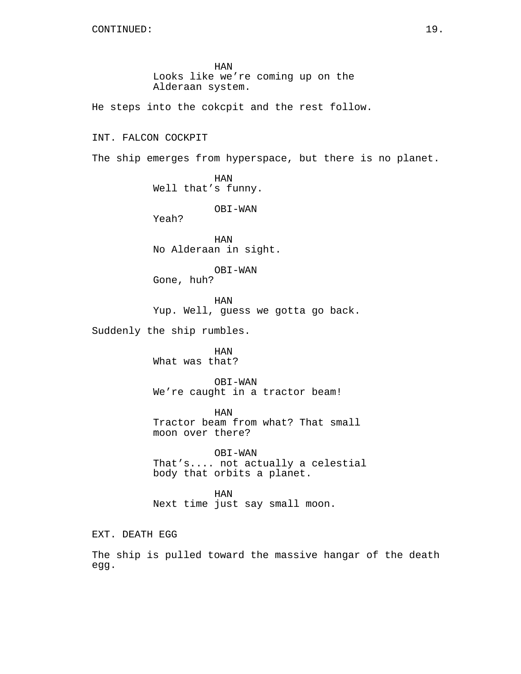HAN Looks like we're coming up on the Alderaan system.

He steps into the cokcpit and the rest follow.

## INT. FALCON COCKPIT

The ship emerges from hyperspace, but there is no planet.

HAN Well that's funny.

OBI-WAN

Yeah?

HAN No Alderaan in sight.

OBI-WAN Gone, huh?

HAN Yup. Well, guess we gotta go back.

Suddenly the ship rumbles.

HAN What was that?

OBI-WAN We're caught in a tractor beam!

HAN Tractor beam from what? That small moon over there?

OBI-WAN That's.... not actually a celestial body that orbits a planet.

HAN Next time just say small moon.

EXT. DEATH EGG

The ship is pulled toward the massive hangar of the death egg.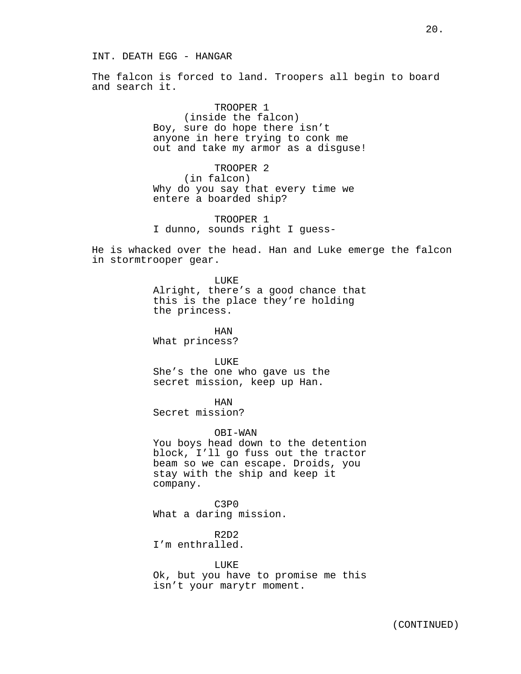The falcon is forced to land. Troopers all begin to board and search it.

> TROOPER 1 (inside the falcon) Boy, sure do hope there isn't anyone in here trying to conk me out and take my armor as a disguse!

TROOPER 2 (in falcon) Why do you say that every time we entere a boarded ship?

TROOPER 1 I dunno, sounds right I guess-

He is whacked over the head. Han and Luke emerge the falcon in stormtrooper gear.

## LUKE

Alright, there's a good chance that this is the place they're holding the princess.

HAN What princess?

LUKE She's the one who gave us the secret mission, keep up Han.

HAN Secret mission?

#### OBI-WAN

You boys head down to the detention block, I'll go fuss out the tractor beam so we can escape. Droids, you stay with the ship and keep it company.

C3P0 What a daring mission.

R2D2 I'm enthralled.

LUKE Ok, but you have to promise me this isn't your marytr moment.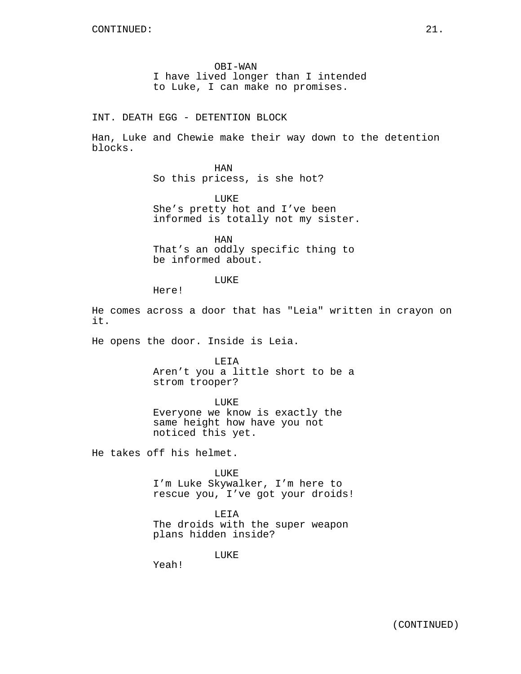OBI-WAN I have lived longer than I intended to Luke, I can make no promises.

INT. DEATH EGG - DETENTION BLOCK

Han, Luke and Chewie make their way down to the detention blocks.

> HAN So this pricess, is she hot?

LUKE She's pretty hot and I've been informed is totally not my sister.

HAN That's an oddly specific thing to be informed about.

LUKE

Here!

He comes across a door that has "Leia" written in crayon on it.

He opens the door. Inside is Leia.

LEIA Aren't you a little short to be a strom trooper?

LUKE Everyone we know is exactly the same height how have you not noticed this yet.

He takes off his helmet.

LUKE I'm Luke Skywalker, I'm here to rescue you, I've got your droids!

LEIA The droids with the super weapon plans hidden inside?

LUKE

Yeah!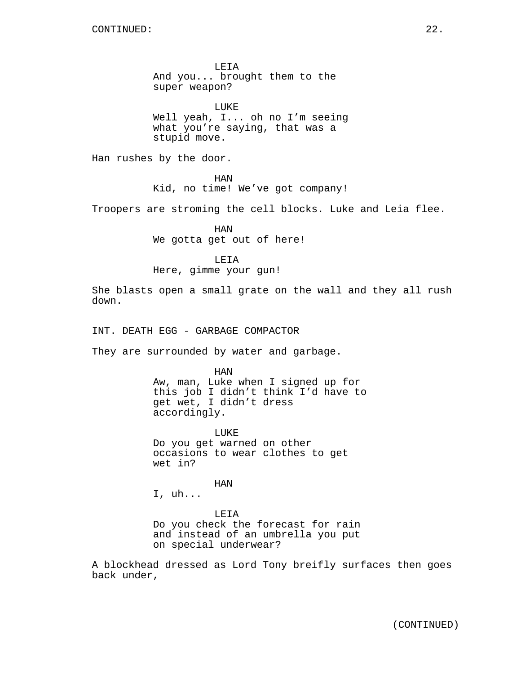LEIA And you... brought them to the super weapon?

LUKE Well yeah, I... oh no I'm seeing what you're saying, that was a stupid move.

Han rushes by the door.

HAN

Kid, no time! We've got company!

Troopers are stroming the cell blocks. Luke and Leia flee.

HAN We gotta get out of here!

LEIA

Here, gimme your gun!

She blasts open a small grate on the wall and they all rush down.

INT. DEATH EGG - GARBAGE COMPACTOR

They are surrounded by water and garbage.

HAN Aw, man, Luke when I signed up for this job I didn't think I'd have to get wet, I didn't dress accordingly.

LUKE Do you get warned on other occasions to wear clothes to get wet in?

HAN

I, uh...

LEIA Do you check the forecast for rain and instead of an umbrella you put on special underwear?

A blockhead dressed as Lord Tony breifly surfaces then goes back under,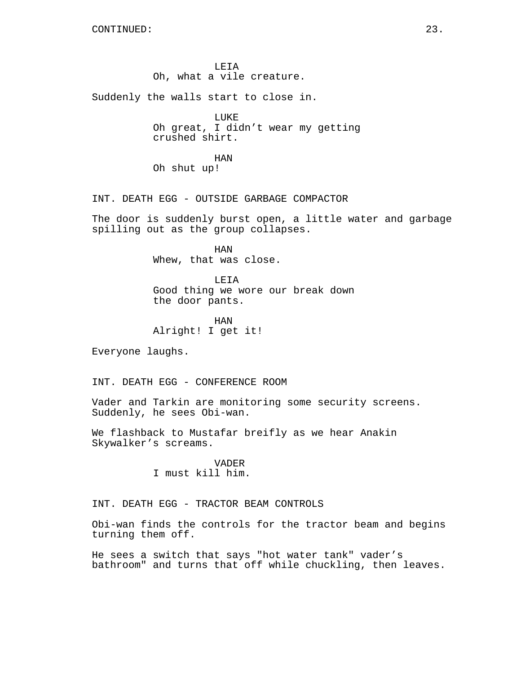LEIA Oh, what a vile creature.

Suddenly the walls start to close in.

LUKE Oh great, I didn't wear my getting crushed shirt.

HAN Oh shut up!

INT. DEATH EGG - OUTSIDE GARBAGE COMPACTOR

The door is suddenly burst open, a little water and garbage spilling out as the group collapses.

> HAN Whew, that was close.

LEIA Good thing we wore our break down the door pants.

HAN Alright! I get it!

Everyone laughs.

INT. DEATH EGG - CONFERENCE ROOM

Vader and Tarkin are monitoring some security screens. Suddenly, he sees Obi-wan.

We flashback to Mustafar breifly as we hear Anakin Skywalker's screams.

> VADER I must kill him.

INT. DEATH EGG - TRACTOR BEAM CONTROLS

Obi-wan finds the controls for the tractor beam and begins turning them off.

He sees a switch that says "hot water tank" vader's bathroom" and turns that off while chuckling, then leaves.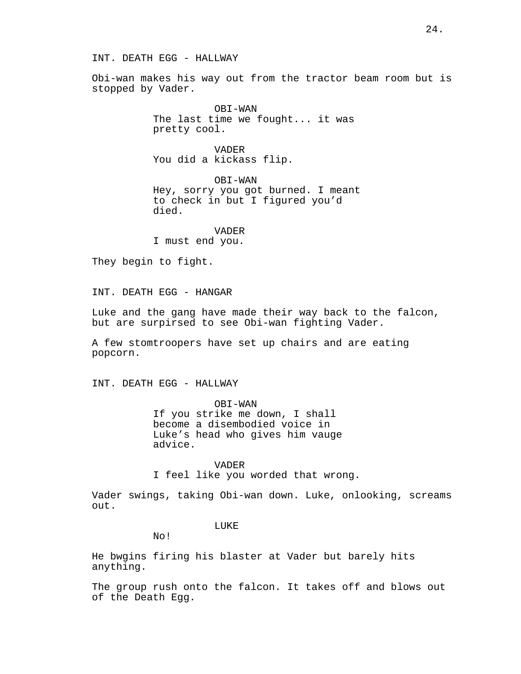## INT. DEATH EGG - HALLWAY

Obi-wan makes his way out from the tractor beam room but is stopped by Vader.

> OBI-WAN The last time we fought... it was pretty cool.

VADER You did a kickass flip.

OBI-WAN Hey, sorry you got burned. I meant to check in but I figured you'd died.

VADER

I must end you.

They begin to fight.

INT. DEATH EGG - HANGAR

Luke and the gang have made their way back to the falcon, but are surpirsed to see Obi-wan fighting Vader.

A few stomtroopers have set up chairs and are eating popcorn.

INT. DEATH EGG - HALLWAY

OBI-WAN If you strike me down, I shall become a disembodied voice in Luke's head who gives him vauge advice.

VADER

I feel like you worded that wrong.

Vader swings, taking Obi-wan down. Luke, onlooking, screams out.

## LUKE<sup></sup>

No!

He bwgins firing his blaster at Vader but barely hits anything.

The group rush onto the falcon. It takes off and blows out of the Death Egg.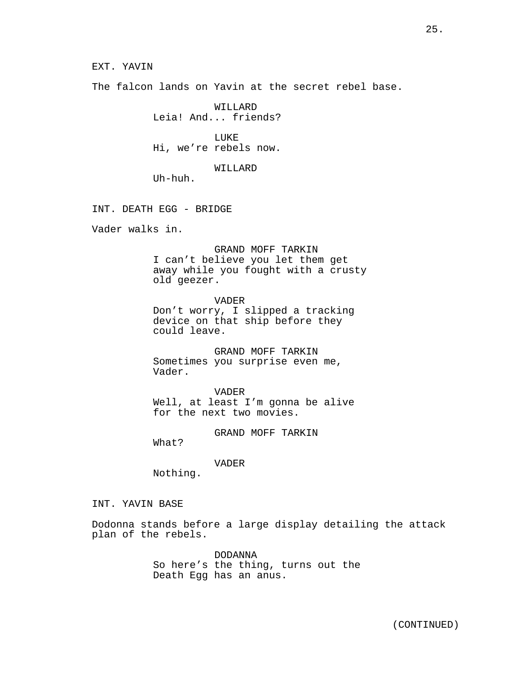The falcon lands on Yavin at the secret rebel base.

WILLARD Leia! And... friends?

**LUKE** Hi, we're rebels now.

WILLARD

Uh-huh.

INT. DEATH EGG - BRIDGE

Vader walks in.

GRAND MOFF TARKIN I can't believe you let them get away while you fought with a crusty old geezer.

VADER Don't worry, I slipped a tracking device on that ship before they could leave.

GRAND MOFF TARKIN Sometimes you surprise even me, Vader.

VADER Well, at least I'm gonna be alive for the next two movies.

GRAND MOFF TARKIN

What?

VADER

Nothing.

INT. YAVIN BASE

Dodonna stands before a large display detailing the attack plan of the rebels.

> DODANNA So here's the thing, turns out the Death Egg has an anus.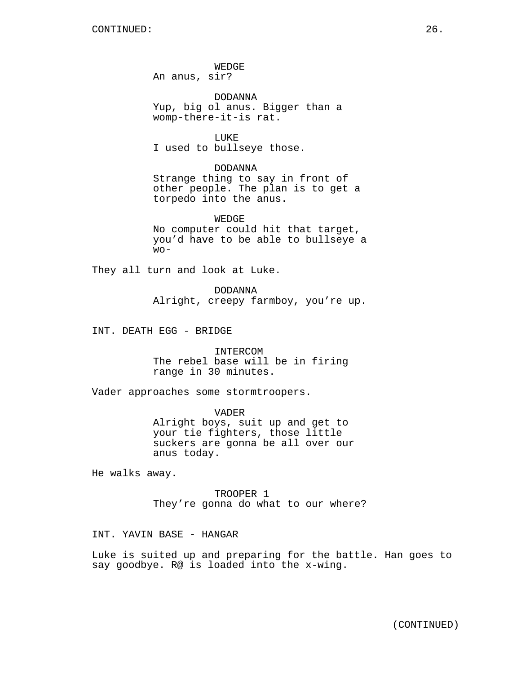WEDGE An anus, sir?

DODANNA Yup, big ol anus. Bigger than a womp-there-it-is rat.

LUKE I used to bullseye those.

DODANNA Strange thing to say in front of other people. The plan is to get a torpedo into the anus.

WEDGE No computer could hit that target, you'd have to be able to bullseye a  $WO -$ 

They all turn and look at Luke.

DODANNA Alright, creepy farmboy, you're up.

INT. DEATH EGG - BRIDGE

INTERCOM The rebel base will be in firing range in 30 minutes.

Vader approaches some stormtroopers.

VADER Alright boys, suit up and get to your tie fighters, those little suckers are gonna be all over our anus today.

He walks away.

TROOPER 1 They're gonna do what to our where?

INT. YAVIN BASE - HANGAR

Luke is suited up and preparing for the battle. Han goes to say goodbye. R@ is loaded into the x-wing.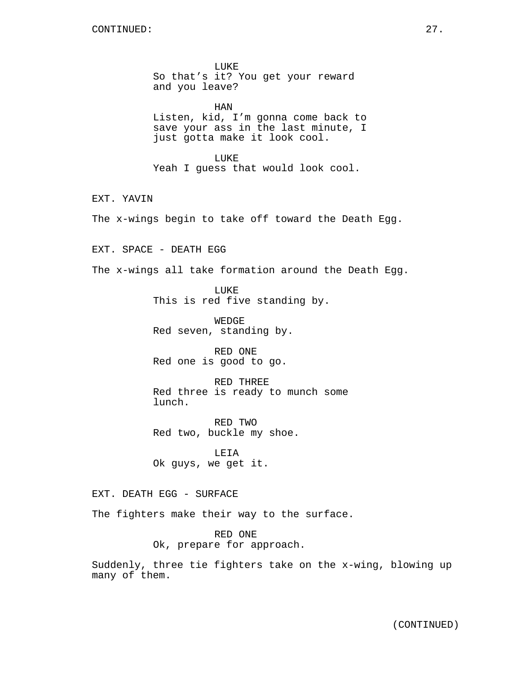LUKE So that's it? You get your reward and you leave?

HAN Listen, kid, I'm gonna come back to save your ass in the last minute, I just gotta make it look cool.

LUKE Yeah I guess that would look cool.

EXT. YAVIN

The x-wings begin to take off toward the Death Egg.

EXT. SPACE - DEATH EGG

The x-wings all take formation around the Death Egg.

LUKE This is red five standing by.

WEDGE Red seven, standing by.

RED ONE Red one is good to go.

RED THREE Red three is ready to munch some lunch.

RED TWO Red two, buckle my shoe.

LEIA Ok guys, we get it.

EXT. DEATH EGG - SURFACE

The fighters make their way to the surface.

RED ONE Ok, prepare for approach.

Suddenly, three tie fighters take on the x-wing, blowing up many of them.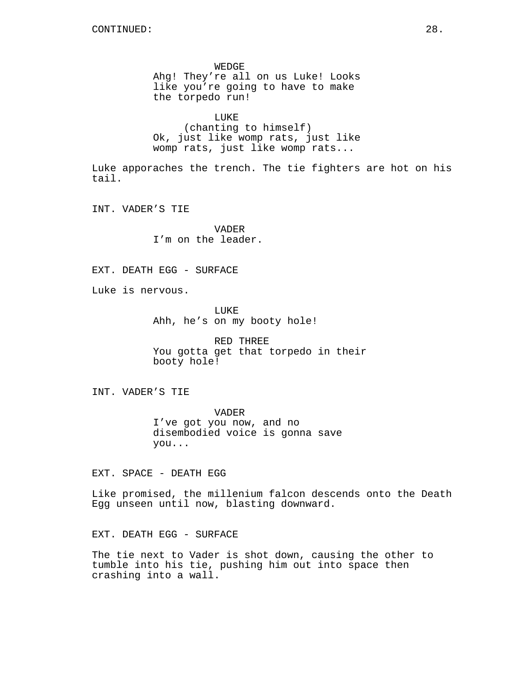WEDGE Ahg! They're all on us Luke! Looks like you're going to have to make the torpedo run!

LUKE (chanting to himself) Ok, just like womp rats, just like womp rats, just like womp rats...

Luke apporaches the trench. The tie fighters are hot on his tail.

INT. VADER'S TIE

VADER I'm on the leader.

EXT. DEATH EGG - SURFACE

Luke is nervous.

LUKE Ahh, he's on my booty hole!

RED THREE You gotta get that torpedo in their booty hole!

INT. VADER'S TIE

VADER I've got you now, and no disembodied voice is gonna save you...

EXT. SPACE - DEATH EGG

Like promised, the millenium falcon descends onto the Death Egg unseen until now, blasting downward.

EXT. DEATH EGG - SURFACE

The tie next to Vader is shot down, causing the other to tumble into his tie, pushing him out into space then crashing into a wall.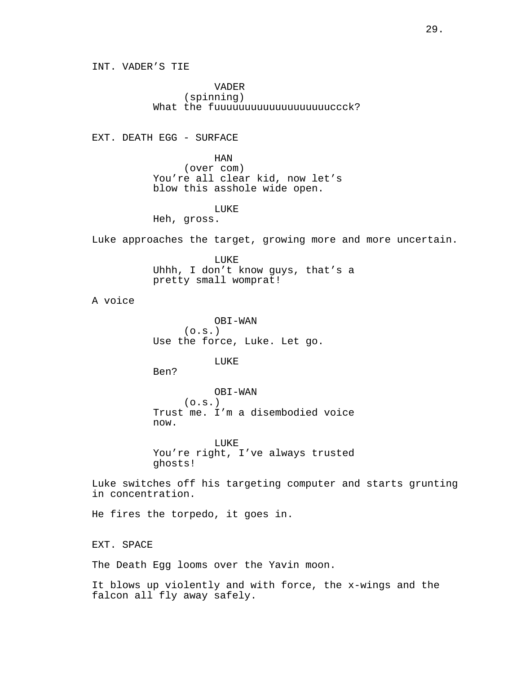INT. VADER'S TIE

VADER (spinning) What the fuuuuuuuuuuuuuuuuuuuccck?

EXT. DEATH EGG - SURFACE

HAN (over com) You're all clear kid, now let's blow this asshole wide open.

LUKE

Heh, gross.

Luke approaches the target, growing more and more uncertain.

LUKE Uhhh, I don't know guys, that's a pretty small womprat!

A voice

OBI-WAN  $(0.5.)$ Use the force, Luke. Let go.

LUKE

Ben?

OBI-WAN  $(0.5.)$ Trust me. I'm a disembodied voice now.

LUKE You're right, I've always trusted ghosts!

Luke switches off his targeting computer and starts grunting in concentration.

He fires the torpedo, it goes in.

EXT. SPACE

The Death Egg looms over the Yavin moon.

It blows up violently and with force, the x-wings and the falcon all fly away safely.